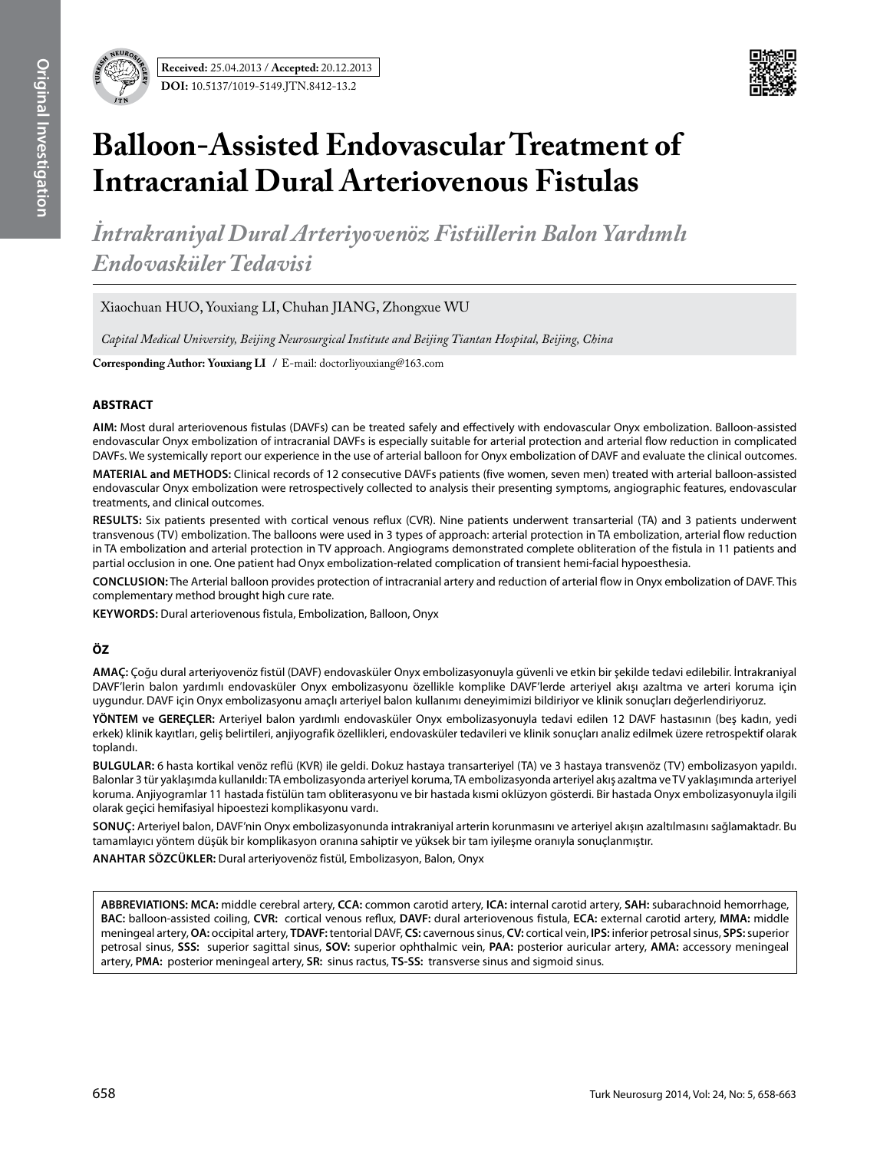

# **Balloon-Assisted Endovascular Treatment of Intracranial Dural Arteriovenous Fistulas**

*İntrakraniyal Dural Arteriyovenöz Fistüllerin Balon Yardımlı Endovasküler Tedavisi*

Xiaochuan HUO, Youxiang LI, Chuhan JIANG, Zhongxue WU

*Capital Medical University, Beijing Neurosurgical Institute and Beijing Tiantan Hospital, Beijing, China*

**Corresponding Author: Youxiang LI /** E-mail: doctorliyouxiang@163.com

# **ABSTRACT**

**AIm:** Most dural arteriovenous fistulas (DAVFs) can be treated safely and effectively with endovascular Onyx embolization. Balloon-assisted endovascular Onyx embolization of intracranial DAVFs is especially suitable for arterial protection and arterial flow reduction in complicated DAVFs. We systemically report our experience in the use of arterial balloon for Onyx embolization of DAVF and evaluate the clinical outcomes.

**MaterIal and Methods:** Clinical records of 12 consecutive DAVFs patients (five women, seven men) treated with arterial balloon-assisted endovascular Onyx embolization were retrospectively collected to analysis their presenting symptoms, angiographic features, endovascular treatments, and clinical outcomes.

**Results:** Six patients presented with cortical venous reflux (CVR). Nine patients underwent transarterial (TA) and 3 patients underwent transvenous (TV) embolization. The balloons were used in 3 types of approach: arterial protection in TA embolization, arterial flow reduction in TA embolization and arterial protection in TV approach. Angiograms demonstrated complete obliteration of the fistula in 11 patients and partial occlusion in one. One patient had Onyx embolization-related complication of transient hemi-facial hypoesthesia.

**ConclusIon:** The Arterial balloon provides protection of intracranial artery and reduction of arterial flow in Onyx embolization of DAVF. This complementary method brought high cure rate.

**Keywords:** Dural arteriovenous fistula, Embolization, Balloon, Onyx

# **ÖZ**

**AMAÇ:** Çoğu dural arteriyovenöz fistül (DAVF) endovasküler Onyx embolizasyonuyla güvenli ve etkin bir şekilde tedavi edilebilir. İntrakraniyal DAVF'lerin balon yardımlı endovasküler Onyx embolizasyonu özellikle komplike DAVF'lerde arteriyel akışı azaltma ve arteri koruma için uygundur. DAVF için Onyx embolizasyonu amaçlı arteriyel balon kullanımı deneyimimizi bildiriyor ve klinik sonuçları değerlendiriyoruz.

**YÖNTEM ve GEREÇLER:** Arteriyel balon yardımlı endovasküler Onyx embolizasyonuyla tedavi edilen 12 DAVF hastasının (beş kadın, yedi erkek) klinik kayıtları, geliş belirtileri, anjiyografik özellikleri, endovasküler tedavileri ve klinik sonuçları analiz edilmek üzere retrospektif olarak toplandı.

**BULGULAR:** 6 hasta kortikal venöz reflü (KVR) ile geldi. Dokuz hastaya transarteriyel (TA) ve 3 hastaya transvenöz (TV) embolizasyon yapıldı. Balonlar 3 tür yaklaşımda kullanıldı: TA embolizasyonda arteriyel koruma, TA embolizasyonda arteriyel akış azaltma ve TV yaklaşımında arteriyel koruma. Anjiyogramlar 11 hastada fistülün tam obliterasyonu ve bir hastada kısmi oklüzyon gösterdi. Bir hastada Onyx embolizasyonuyla ilgili olarak geçici hemifasiyal hipoestezi komplikasyonu vardı.

**SONUÇ:** Arteriyel balon, DAVF'nin Onyx embolizasyonunda intrakraniyal arterin korunmasını ve arteriyel akışın azaltılmasını sağlamaktadr. Bu tamamlayıcı yöntem düşük bir komplikasyon oranına sahiptir ve yüksek bir tam iyileşme oranıyla sonuçlanmıştır.

**ANAHTAR SÖZCÜKLER:** Dural arteriyovenöz fistül, Embolizasyon, Balon, Onyx

**ABBREVIATIONS: MCA:** middle cerebral artery, **CCA:** common carotid artery, **ICA:** internal carotid artery, **SAH:** subarachnoid hemorrhage, **BAC:** balloon-assisted coiling, **CVR:** cortical venous reflux, **DAVF:** dural arteriovenous fistula, **ECA:** external carotid artery, **MMA:** middle meningeal artery, **OA:** occipital artery, **TDAVF:** tentorial DAVF, **CS:** cavernous sinus, **CV:** cortical vein, **IPS:** inferior petrosal sinus, **SPS:**superior petrosal sinus, **SSS:** superior sagittal sinus, **SOV:** superior ophthalmic vein, **PAA:** posterior auricular artery, **AMA:** accessory meningeal artery, **PMA:** posterior meningeal artery, **SR:** sinus ractus, **TS-SS:** transverse sinus and sigmoid sinus.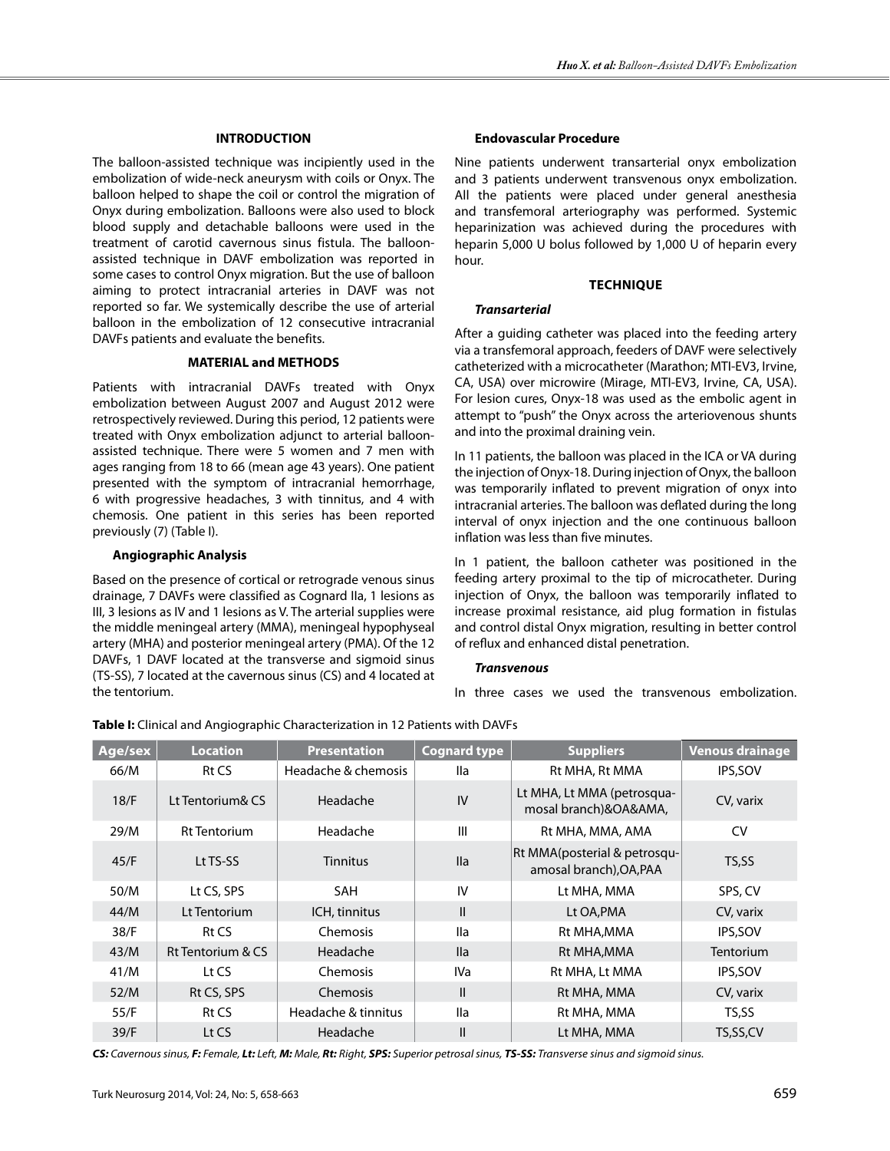# **INTRODUCTION**

The balloon-assisted technique was incipiently used in the embolization of wide-neck aneurysm with coils or Onyx. The balloon helped to shape the coil or control the migration of Onyx during embolization. Balloons were also used to block blood supply and detachable balloons were used in the treatment of carotid cavernous sinus fistula. The balloonassisted technique in DAVF embolization was reported in some cases to control Onyx migration. But the use of balloon aiming to protect intracranial arteries in DAVF was not reported so far. We systemically describe the use of arterial balloon in the embolization of 12 consecutive intracranial DAVFs patients and evaluate the benefits.

## **MATERIAL and METHODS**

Patients with intracranial DAVFs treated with Onyx embolization between August 2007 and August 2012 were retrospectively reviewed. During this period, 12 patients were treated with Onyx embolization adjunct to arterial balloonassisted technique. There were 5 women and 7 men with ages ranging from 18 to 66 (mean age 43 years). One patient presented with the symptom of intracranial hemorrhage, 6 with progressive headaches, 3 with tinnitus, and 4 with chemosis. One patient in this series has been reported previously (7) (Table I).

## **Angiographic Analysis**

Based on the presence of cortical or retrograde venous sinus drainage, 7 DAVFs were classified as Cognard IIa, 1 lesions as III, 3 lesions as IV and 1 lesions as V. The arterial supplies were the middle meningeal artery (MMA), meningeal hypophyseal artery (MHA) and posterior meningeal artery (PMA). Of the 12 DAVFs, 1 DAVF located at the transverse and sigmoid sinus (TS-SS), 7 located at the cavernous sinus (CS) and 4 located at the tentorium.

# **Endovascular Procedure**

Nine patients underwent transarterial onyx embolization and 3 patients underwent transvenous onyx embolization. All the patients were placed under general anesthesia and transfemoral arteriography was performed. Systemic heparinization was achieved during the procedures with heparin 5,000 U bolus followed by 1,000 U of heparin every hour.

#### **TechnIque**

## *Transarterial*

After a guiding catheter was placed into the feeding artery via a transfemoral approach, feeders of DAVF were selectively catheterized with a microcatheter (Marathon; MTI-EV3, Irvine, CA, USA) over microwire (Mirage, MTI-EV3, Irvine, CA, USA). For lesion cures, Onyx-18 was used as the embolic agent in attempt to "push" the Onyx across the arteriovenous shunts and into the proximal draining vein.

In 11 patients, the balloon was placed in the ICA or VA during the injection of Onyx-18. During injection of Onyx, the balloon was temporarily inflated to prevent migration of onyx into intracranial arteries. The balloon was deflated during the long interval of onyx injection and the one continuous balloon inflation was less than five minutes.

In 1 patient, the balloon catheter was positioned in the feeding artery proximal to the tip of microcatheter. During injection of Onyx, the balloon was temporarily inflated to increase proximal resistance, aid plug formation in fistulas and control distal Onyx migration, resulting in better control of reflux and enhanced distal penetration.

#### *Transvenous*

In three cases we used the transvenous embolization.

| Age/sex | <b>Location</b>     | <b>Presentation</b> | <b>Cognard type</b> | <b>Suppliers</b>                                        | <b>Venous drainage</b> |  |
|---------|---------------------|---------------------|---------------------|---------------------------------------------------------|------------------------|--|
| 66/M    | Rt CS               | Headache & chemosis | lla                 | Rt MHA, Rt MMA                                          | IPS, SOV               |  |
| 18/F    | Lt Tentorium& CS    | Headache            | IV                  | Lt MHA, Lt MMA (petrosqua-<br>mosal branch)&OA&AMA,     | CV, varix              |  |
| 29/M    | <b>Rt Tentorium</b> | Headache            | III                 | Rt MHA, MMA, AMA                                        | <b>CV</b>              |  |
| 45/F    | Lt TS-SS            | <b>Tinnitus</b>     | lla                 | Rt MMA(posterial & petrosqu-<br>amosal branch), OA, PAA | TS,SS                  |  |
| 50/M    | Lt CS, SPS          | <b>SAH</b>          | IV                  | Lt MHA, MMA                                             | SPS, CV                |  |
| 44/M    | Lt Tentorium        | ICH, tinnitus       | $\mathsf{I}$        | Lt OA, PMA                                              | CV, varix              |  |
| 38/F    | Rt CS               | <b>Chemosis</b>     | lla                 | Rt MHA, MMA                                             | IPS, SOV               |  |
| 43/M    | Rt Tentorium & CS   | Headache            | <b>Ila</b>          | Rt MHA, MMA                                             | Tentorium              |  |
| 41/M    | Lt CS               | Chemosis            | IVa                 | Rt MHA, Lt MMA                                          | <b>IPS,SOV</b>         |  |
| 52/M    | Rt CS, SPS          | Chemosis            | $\mathbf{I}$        | Rt MHA, MMA                                             | CV, varix              |  |
| 55/F    | Rt CS               | Headache & tinnitus | lla                 | Rt MHA, MMA                                             | TS,SS                  |  |
| 39/F    | Lt CS               | Headache            | $\mathsf{II}$       | Lt MHA, MMA                                             | TS,SS,CV               |  |

CS: Cavernous sinus, F: Female, Lt: Left, M: Male, Rt: Right, SPS: Superior petrosal sinus, TS-SS: Transverse sinus and sigmoid sinus.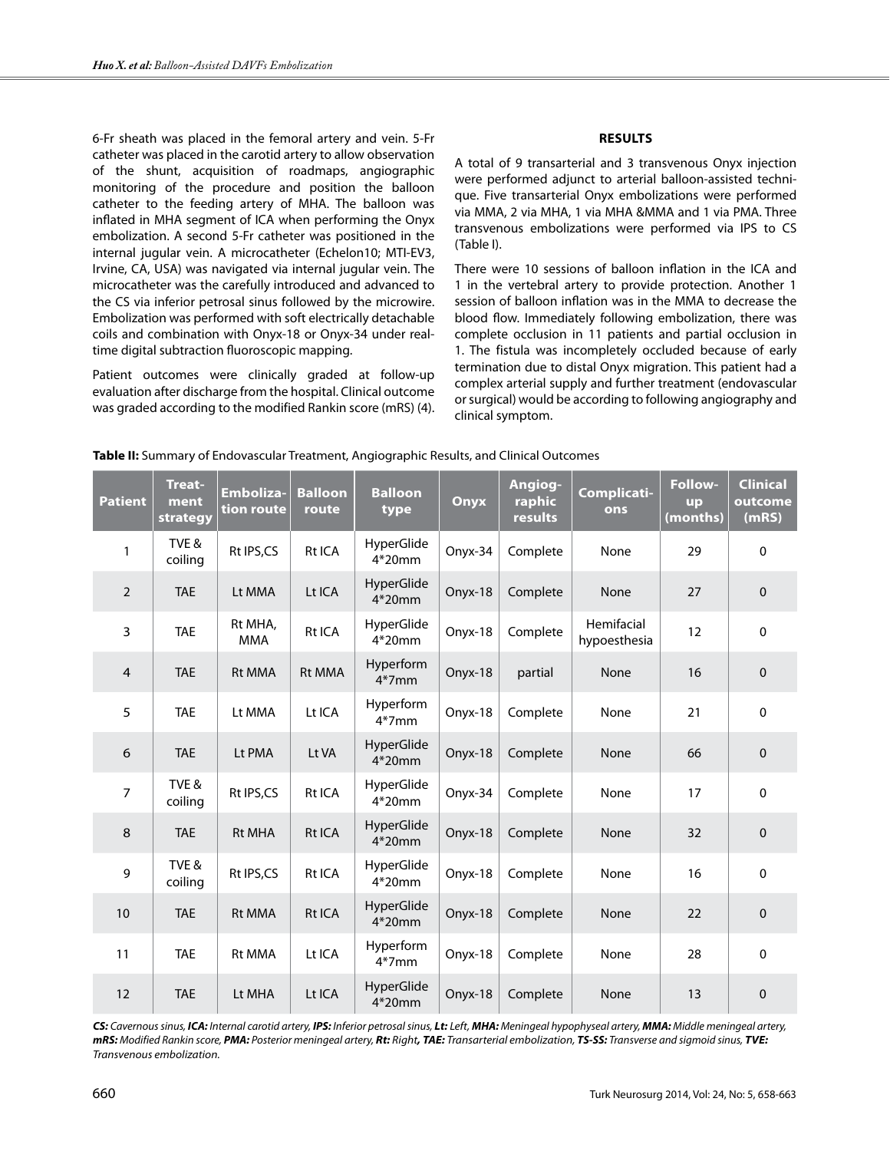6-Fr sheath was placed in the femoral artery and vein. 5-Fr catheter was placed in the carotid artery to allow observation of the shunt, acquisition of roadmaps, angiographic monitoring of the procedure and position the balloon catheter to the feeding artery of MHA. The balloon was inflated in MHA segment of ICA when performing the Onyx embolization. A second 5-Fr catheter was positioned in the internal jugular vein. A microcatheter (Echelon10; MTI-EV3, Irvine, CA, USA) was navigated via internal jugular vein. The microcatheter was the carefully introduced and advanced to the CS via inferior petrosal sinus followed by the microwire. Embolization was performed with soft electrically detachable coils and combination with Onyx-18 or Onyx-34 under realtime digital subtraction fluoroscopic mapping.

Patient outcomes were clinically graded at follow-up evaluation after discharge from the hospital. Clinical outcome was graded according to the modified Rankin score (mRS) (4).

# **Results**

A total of 9 transarterial and 3 transvenous Onyx injection were performed adjunct to arterial balloon-assisted technique. Five transarterial Onyx embolizations were performed via MMA, 2 via MHA, 1 via MHA &MMA and 1 via PMA. Three transvenous embolizations were performed via IPS to CS (Table I).

There were 10 sessions of balloon inflation in the ICA and 1 in the vertebral artery to provide protection. Another 1 session of balloon inflation was in the MMA to decrease the blood flow. Immediately following embolization, there was complete occlusion in 11 patients and partial occlusion in 1. The fistula was incompletely occluded because of early termination due to distal Onyx migration. This patient had a complex arterial supply and further treatment (endovascular or surgical) would be according to following angiography and clinical symptom.

| <b>Patient</b> | <b>Treat-</b><br>ment<br>strategy | <b>Emboliza-</b><br>tion route | <b>Balloon</b><br>route | <b>Balloon</b><br>type         | Onyx    | Angiog-<br>raphic<br>results | <b>Complicati-</b><br>ons  | Follow-<br><b>up</b><br>(months) | <b>Clinical</b><br>outcome<br>(mRS) |
|----------------|-----------------------------------|--------------------------------|-------------------------|--------------------------------|---------|------------------------------|----------------------------|----------------------------------|-------------------------------------|
| $\mathbf{1}$   | TVE&<br>coiling                   | Rt IPS,CS                      | Rt ICA                  | HyperGlide<br>$4*20$ mm        | Onyx-34 | Complete                     | None                       | 29                               | $\mathbf 0$                         |
| $\overline{2}$ | <b>TAE</b>                        | Lt MMA                         | Lt ICA                  | <b>HyperGlide</b><br>4*20mm    | Onyx-18 | Complete                     | None                       | 27                               | $\mathbf 0$                         |
| 3              | <b>TAE</b>                        | Rt MHA,<br><b>MMA</b>          | Rt ICA                  | HyperGlide<br>$4*20mm$         | Onyx-18 | Complete                     | Hemifacial<br>hypoesthesia | 12                               | $\mathbf 0$                         |
| 4              | <b>TAE</b>                        | <b>Rt MMA</b>                  | <b>Rt MMA</b>           | Hyperform<br>$4*7mm$           | Onyx-18 | partial                      | None                       | 16                               | $\mathbf 0$                         |
| 5              | <b>TAE</b>                        | Lt MMA                         | Lt ICA                  | Hyperform<br>$4*7mm$           | Onyx-18 | Complete                     | None                       | 21                               | $\mathbf 0$                         |
| 6              | <b>TAE</b>                        | Lt PMA                         | Lt VA                   | HyperGlide<br>$4*20$ mm        | Onyx-18 | Complete                     | None                       | 66                               | $\pmb{0}$                           |
| $\overline{7}$ | TVE&<br>coiling                   | Rt IPS,CS                      | Rt ICA                  | HyperGlide<br>$4*20mm$         | Onyx-34 | Complete                     | None                       | 17                               | $\mathbf{0}$                        |
| 8              | <b>TAE</b>                        | <b>Rt MHA</b>                  | Rt ICA                  | HyperGlide<br>4*20mm           | Onyx-18 | Complete                     | None                       | 32                               | $\pmb{0}$                           |
| 9              | TVE&<br>coiling                   | Rt IPS,CS                      | Rt ICA                  | <b>HyperGlide</b><br>$4*20$ mm | Onyx-18 | Complete                     | None                       | 16                               | $\mathbf 0$                         |
| 10             | <b>TAE</b>                        | <b>Rt MMA</b>                  | Rt ICA                  | HyperGlide<br>4*20mm           | Onyx-18 | Complete                     | None                       | 22                               | $\mathbf 0$                         |
| 11             | <b>TAE</b>                        | <b>Rt MMA</b>                  | Lt ICA                  | Hyperform<br>$4*7mm$           | Onyx-18 | Complete                     | None                       | 28                               | $\mathbf{0}$                        |
| 12             | <b>TAE</b>                        | Lt MHA                         | Lt ICA                  | HyperGlide<br>$4*20$ mm        | Onyx-18 | Complete                     | None                       | 13                               | $\mathbf 0$                         |

**Table II:** Summary of Endovascular Treatment, Angiographic Results, and Clinical Outcomes

CS: Cavernous sinus, ICA: Internal carotid artery, IPS: Inferior petrosal sinus, Lt: Left, MHA: Meningeal hypophyseal artery, MMA: Middle meningeal artery, *mRS: Modified Rankin score, PMA: Posterior meningeal artery, Rt: Right, TAE: Transarterial embolization, TS-SS: Transverse and sigmoid sinus, TVE: Transvenous embolization.*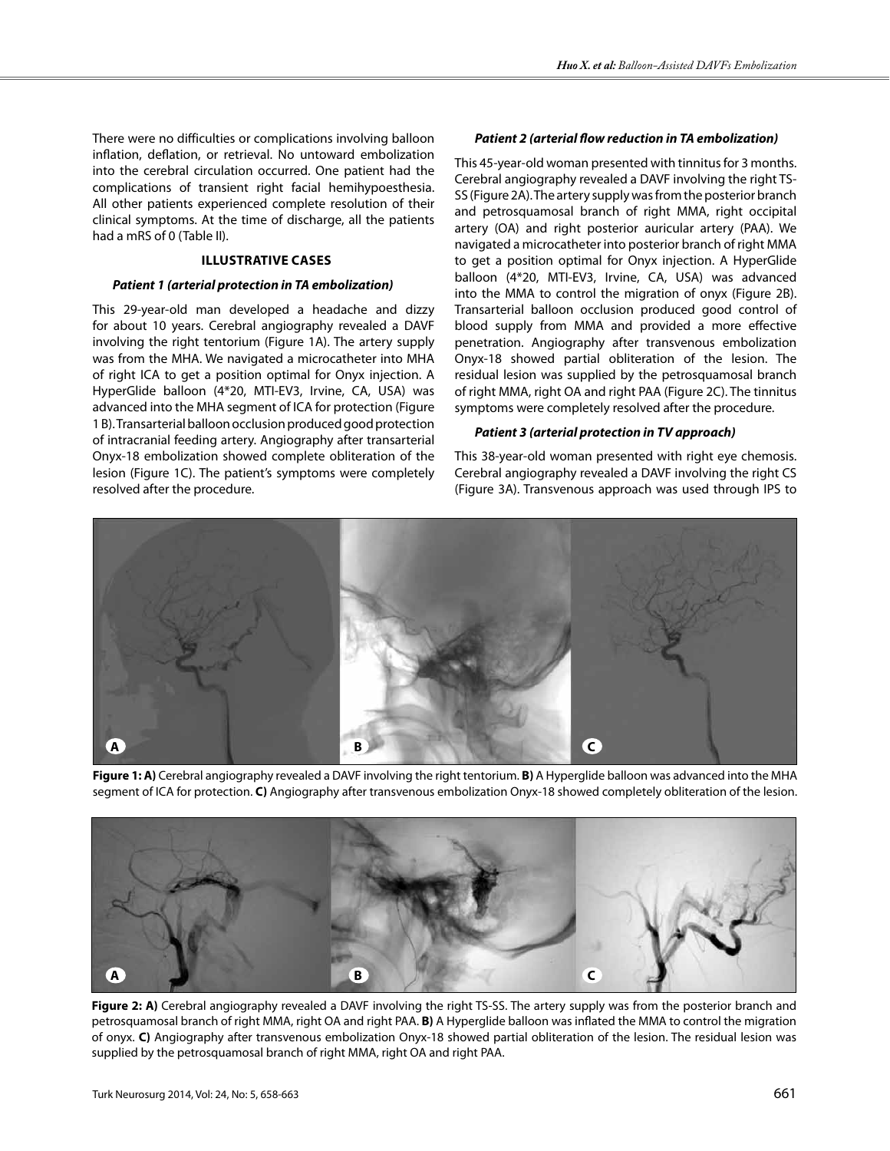There were no difficulties or complications involving balloon inflation, deflation, or retrieval. No untoward embolization into the cerebral circulation occurred. One patient had the complications of transient right facial hemihypoesthesia. All other patients experienced complete resolution of their clinical symptoms. At the time of discharge, all the patients had a mRS of 0 (Table II).

# **IllustratIve Cases**

#### *Patient 1 (arterial protection in TA embolization)*

This 29-year-old man developed a headache and dizzy for about 10 years. Cerebral angiography revealed a DAVF involving the right tentorium (Figure 1A). The artery supply was from the MHA. We navigated a microcatheter into MHA of right ICA to get a position optimal for Onyx injection. A HyperGlide balloon (4\*20, MTI-EV3, Irvine, CA, USA) was advanced into the MHA segment of ICA for protection (Figure 1 B). Transarterial balloon occlusion produced good protection of intracranial feeding artery. Angiography after transarterial Onyx-18 embolization showed complete obliteration of the lesion (Figure 1C). The patient's symptoms were completely resolved after the procedure.

#### *Patient 2 (arterial flow reduction in TA embolization)*

This 45-year-old woman presented with tinnitus for 3 months. Cerebral angiography revealed a DAVF involving the right TS-SS (Figure 2A). The artery supply was from the posterior branch and petrosquamosal branch of right MMA, right occipital artery (OA) and right posterior auricular artery (PAA). We navigated a microcatheter into posterior branch of right MMA to get a position optimal for Onyx injection. A HyperGlide balloon (4\*20, MTI-EV3, Irvine, CA, USA) was advanced into the MMA to control the migration of onyx (Figure 2B). Transarterial balloon occlusion produced good control of blood supply from MMA and provided a more effective penetration. Angiography after transvenous embolization Onyx-18 showed partial obliteration of the lesion. The residual lesion was supplied by the petrosquamosal branch of right MMA, right OA and right PAA (Figure 2C). The tinnitus symptoms were completely resolved after the procedure.

#### *Patient 3 (arterial protection in TV approach)*

This 38-year-old woman presented with right eye chemosis. Cerebral angiography revealed a DAVF involving the right CS (Figure 3A). Transvenous approach was used through IPS to



**Figure 1: A)** Cerebral angiography revealed a DAVF involving the right tentorium. **B)** A Hyperglide balloon was advanced into the MHA segment of ICA for protection. **C)** Angiography after transvenous embolization Onyx-18 showed completely obliteration of the lesion.



**Figure 2: A)** Cerebral angiography revealed a DAVF involving the right TS-SS. The artery supply was from the posterior branch and petrosquamosal branch of right MMA, right OA and right PAA. **B)** A Hyperglide balloon was inflated the MMA to control the migration of onyx. **C)** Angiography after transvenous embolization Onyx-18 showed partial obliteration of the lesion. The residual lesion was supplied by the petrosquamosal branch of right MMA, right OA and right PAA.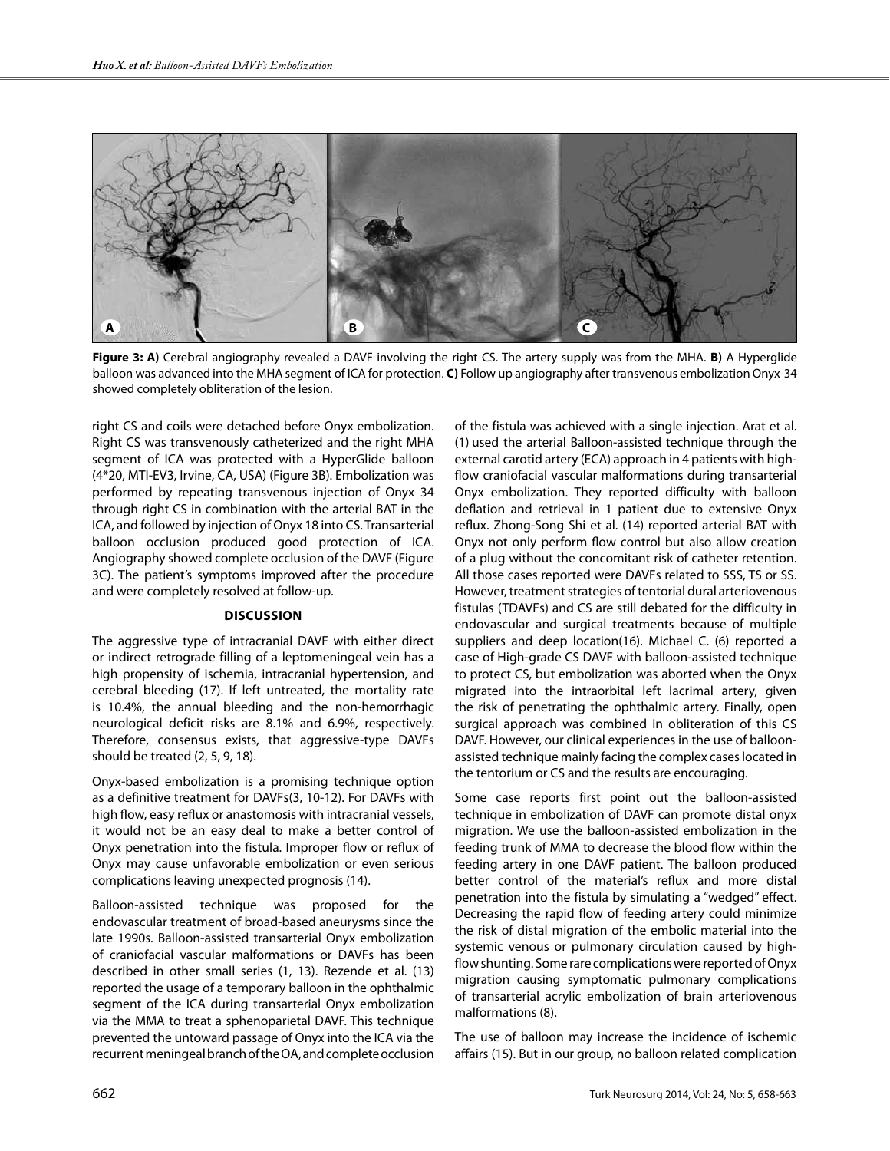

**Figure 3: A)** Cerebral angiography revealed a DAVF involving the right CS. The artery supply was from the MHA. **B)** A Hyperglide balloon was advanced into the MHA segment of ICA for protection. **C)** Follow up angiography after transvenous embolization Onyx-34 showed completely obliteration of the lesion.

right CS and coils were detached before Onyx embolization. Right CS was transvenously catheterized and the right MHA segment of ICA was protected with a HyperGlide balloon (4\*20, MTI-EV3, Irvine, CA, USA) (Figure 3B). Embolization was performed by repeating transvenous injection of Onyx 34 through right CS in combination with the arterial BAT in the ICA, and followed by injection of Onyx 18 into CS. Transarterial balloon occlusion produced good protection of ICA. Angiography showed complete occlusion of the DAVF (Figure 3C). The patient's symptoms improved after the procedure and were completely resolved at follow-up.

#### **DIscussIon**

The aggressive type of intracranial DAVF with either direct or indirect retrograde filling of a leptomeningeal vein has a high propensity of ischemia, intracranial hypertension, and cerebral bleeding (17). If left untreated, the mortality rate is 10.4%, the annual bleeding and the non-hemorrhagic neurological deficit risks are 8.1% and 6.9%, respectively. Therefore, consensus exists, that aggressive-type DAVFs should be treated (2, 5, 9, 18).

Onyx-based embolization is a promising technique option as a definitive treatment for DAVFs(3, 10-12). For DAVFs with high flow, easy reflux or anastomosis with intracranial vessels, it would not be an easy deal to make a better control of Onyx penetration into the fistula. Improper flow or reflux of Onyx may cause unfavorable embolization or even serious complications leaving unexpected prognosis (14).

Balloon-assisted technique was proposed for the endovascular treatment of broad-based aneurysms since the late 1990s. Balloon-assisted transarterial Onyx embolization of craniofacial vascular malformations or DAVFs has been described in other small series (1, 13). Rezende et al. (13) reported the usage of a temporary balloon in the ophthalmic segment of the ICA during transarterial Onyx embolization via the MMA to treat a sphenoparietal DAVF. This technique prevented the untoward passage of Onyx into the ICA via the recurrent meningeal branch of the OA, and complete occlusion

of the fistula was achieved with a single injection. Arat et al. (1) used the arterial Balloon-assisted technique through the external carotid artery (ECA) approach in 4 patients with highflow craniofacial vascular malformations during transarterial Onyx embolization. They reported difficulty with balloon deflation and retrieval in 1 patient due to extensive Onyx reflux. Zhong-Song Shi et al. (14) reported arterial BAT with Onyx not only perform flow control but also allow creation of a plug without the concomitant risk of catheter retention. All those cases reported were DAVFs related to SSS, TS or SS. However, treatment strategies of tentorial dural arteriovenous fistulas (TDAVFs) and CS are still debated for the difficulty in endovascular and surgical treatments because of multiple suppliers and deep location(16). Michael C. (6) reported a case of High-grade CS DAVF with balloon-assisted technique to protect CS, but embolization was aborted when the Onyx migrated into the intraorbital left lacrimal artery, given the risk of penetrating the ophthalmic artery. Finally, open surgical approach was combined in obliteration of this CS DAVF. However, our clinical experiences in the use of balloonassisted technique mainly facing the complex cases located in the tentorium or CS and the results are encouraging.

Some case reports first point out the balloon-assisted technique in embolization of DAVF can promote distal onyx migration. We use the balloon-assisted embolization in the feeding trunk of MMA to decrease the blood flow within the feeding artery in one DAVF patient. The balloon produced better control of the material's reflux and more distal penetration into the fistula by simulating a "wedged" effect. Decreasing the rapid flow of feeding artery could minimize the risk of distal migration of the embolic material into the systemic venous or pulmonary circulation caused by highflow shunting. Some rare complications were reported of Onyx migration causing symptomatic pulmonary complications of transarterial acrylic embolization of brain arteriovenous malformations (8).

The use of balloon may increase the incidence of ischemic affairs (15). But in our group, no balloon related complication